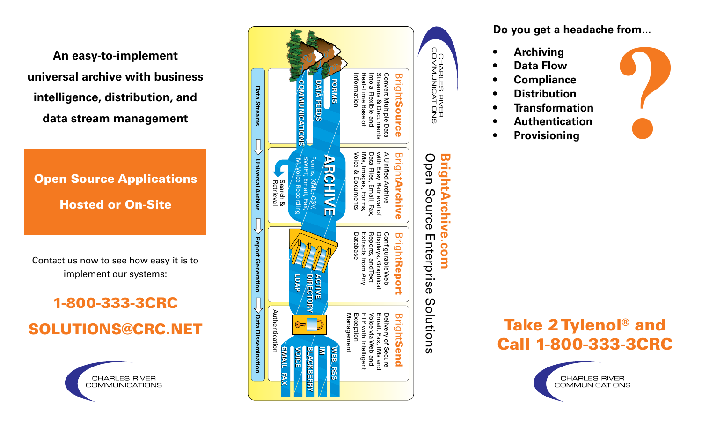**An easy-to-implement universal archive with business intelligence, distribution, and data stream management** 

Open Source Applications Hosted or On-Site

Contact us now to see how easy it is to implement our systems:

# 1-800-333-3CRC SOLUTIONS@CRC.NET

CHARLES RIVER **COMMUNICATIONS** 



# **Do you get a headache from... • Archiving ?**

- 
- **• Data Flow**
- **• Compliance**
- **• Distribution**
- **• Transformation**
- **• Authentication**
- **• Provisioning**